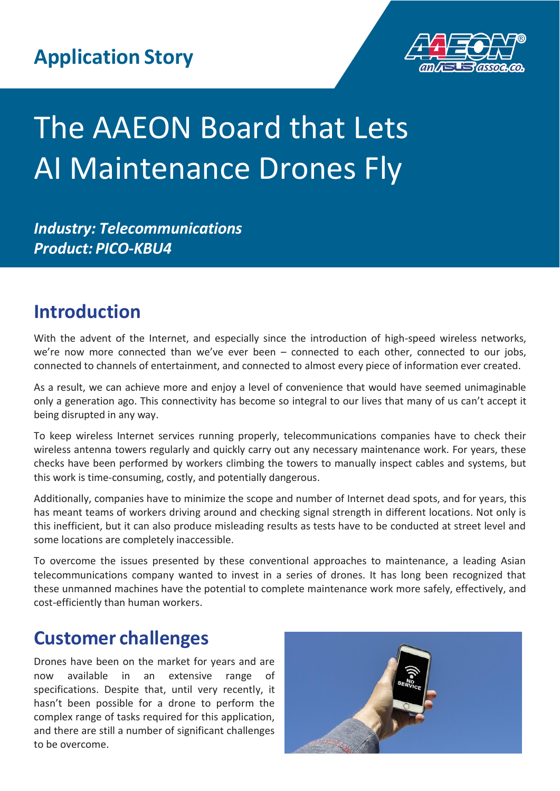

# The AAEON Board that Lets AI Maintenance Drones Fly

*Industry: Telecommunications Product: PICO-KBU4*

# **Introduction**

With the advent of the Internet, and especially since the introduction of high-speed wireless networks, we're now more connected than we've ever been – connected to each other, connected to our jobs, connected to channels of entertainment, and connected to almost every piece of information ever created.

As a result, we can achieve more and enjoy a level of convenience that would have seemed unimaginable only a generation ago. This connectivity has become so integral to our lives that many of us can't accept it being disrupted in any way.

To keep wireless Internet services running properly, telecommunications companies have to check their wireless antenna towers regularly and quickly carry out any necessary maintenance work. For years, these checks have been performed by workers climbing the towers to manually inspect cables and systems, but this work is time-consuming, costly, and potentially dangerous.

Additionally, companies have to minimize the scope and number of Internet dead spots, and for years, this has meant teams of workers driving around and checking signal strength in different locations. Not only is this inefficient, but it can also produce misleading results as tests have to be conducted at street level and some locations are completely inaccessible.

To overcome the issues presented by these conventional approaches to maintenance, a leading Asian telecommunications company wanted to invest in a series of drones. It has long been recognized that these unmanned machines have the potential to complete maintenance work more safely, effectively, and cost-efficiently than human workers.

# **Customer challenges**

Drones have been on the market for years and are now available in an extensive range of specifications. Despite that, until very recently, it hasn't been possible for a drone to perform the complex range of tasks required for this application, and there are still a number of significant challenges to be overcome.

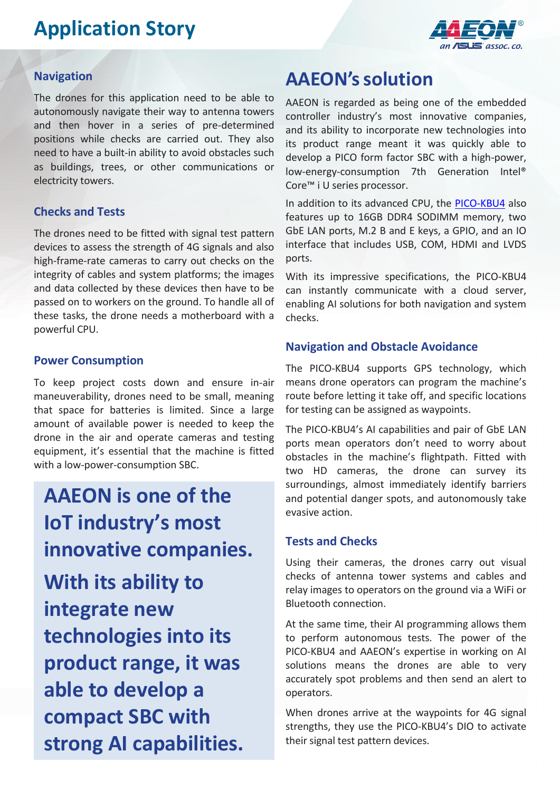# **Application Story**



#### **Navigation**

The drones for this application need to be able to autonomously navigate their way to antenna towers and then hover in a series of pre-determined positions while checks are carried out. They also need to have a built-in ability to avoid obstacles such as buildings, trees, or other communications or electricity towers.

#### **Checks and Tests**

The drones need to be fitted with signal test pattern devices to assess the strength of 4G signals and also high-frame-rate cameras to carry out checks on the integrity of cables and system platforms; the images and data collected by these devices then have to be passed on to workers on the ground. To handle all of these tasks, the drone needs a motherboard with a powerful CPU.

#### **Power Consumption**

To keep project costs down and ensure in-air maneuverability, drones need to be small, meaning that space for batteries is limited. Since a large amount of available power is needed to keep the drone in the air and operate cameras and testing equipment, it's essential that the machine is fitted with a low-power-consumption SBC.

**AAEON is one of the IoT industry's most innovative companies.**

**With its ability to integrate new technologies into its product range, it was able to develop a compact SBC with strong AI capabilities.**

### **AAEON'ssolution**

AAEON is regarded as being one of the embedded controller industry's most innovative companies, and its ability to incorporate new technologies into its product range meant it was quickly able to develop a PICO form factor SBC with a high-power, low-energy-consumption 7th Generation Intel® Core™ i U series processor.

In addition to its advanced CPU, the [PICO-KBU4](https://www.aaeon.com/en/p/pico-itx-boards-pico-kbu4) also features up to 16GB DDR4 SODIMM memory, two GbE LAN ports, M.2 B and E keys, a GPIO, and an IO interface that includes USB, COM, HDMI and LVDS ports.

With its impressive specifications, the PICO-KBU4 can instantly communicate with a cloud server, enabling AI solutions for both navigation and system checks.

#### **Navigation and Obstacle Avoidance**

The PICO-KBU4 supports GPS technology, which means drone operators can program the machine's route before letting it take off, and specific locations for testing can be assigned as waypoints.

The PICO-KBU4's AI capabilities and pair of GbE LAN ports mean operators don't need to worry about obstacles in the machine's flightpath. Fitted with two HD cameras, the drone can survey its surroundings, almost immediately identify barriers and potential danger spots, and autonomously take evasive action.

#### **Tests and Checks**

Using their cameras, the drones carry out visual checks of antenna tower systems and cables and relay images to operators on the ground via a WiFi or Bluetooth connection.

At the same time, their AI programming allows them to perform autonomous tests. The power of the PICO-KBU4 and AAEON's expertise in working on AI solutions means the drones are able to very accurately spot problems and then send an alert to operators.

When drones arrive at the waypoints for 4G signal strengths, they use the PICO-KBU4's DIO to activate their signal test pattern devices.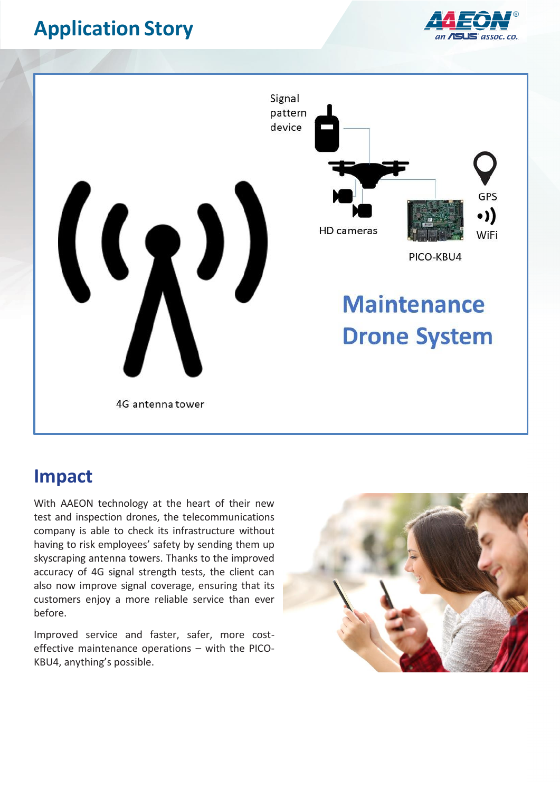# **Application Story**





### **Impact**

With AAEON technology at the heart of their new test and inspection drones, the telecommunications company is able to check its infrastructure without having to risk employees' safety by sending them up skyscraping antenna towers. Thanks to the improved accuracy of 4G signal strength tests, the client can also now improve signal coverage, ensuring that its customers enjoy a more reliable service than ever before.

Improved service and faster, safer, more costeffective maintenance operations – with the PICO-KBU4, anything's possible.